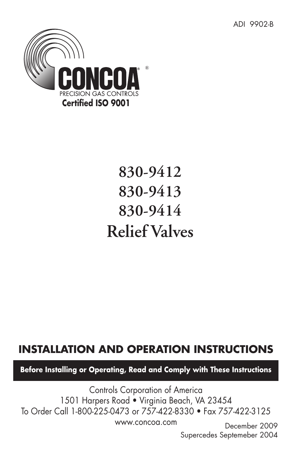ADI 9902-B



# **830-9412 830-9413 830-9414 Relief Valves**

#### **INSTALLATION AND OPERATION INSTRUCTIONS**

**Before Installing or Operating, Read and Comply with These Instructions**

Controls Corporation of America 1501 Harpers Road • Virginia Beach, VA 23454 To Order Call 1-800-225-0473 or 757-422-8330 • Fax 757-422-3125 www.concoa.com

December 2009 Supercedes Septemeber 2004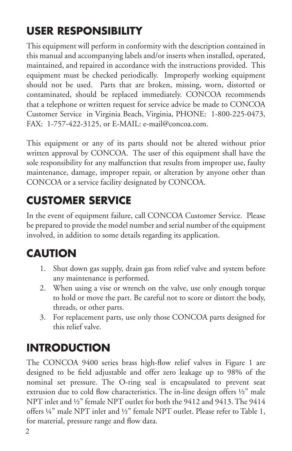# **USER RESPONSIBILITY**

This equipment will perform in conformity with the description contained in this manual and accompanying labels and/or inserts when installed, operated, maintained, and repaired in accordance with the instructions provided. This equipment must be checked periodically. Improperly working equipment should not be used. Parts that are broken, missing, worn, distorted or contaminated, should be replaced immediately. CONCOA recommends that a telephone or written request for service advice be made to CONCOA Customer Service in Virginia Beach, Virginia, PHONE: 1-800-225-0473, FAX: 1-757-422-3125, or E-MAIL: e-mail@concoa.com.

This equipment or any of its parts should not be altered without prior written approval by CONCOA. The user of this equipment shall have the sole responsibility for any malfunction that results from improper use, faulty maintenance, damage, improper repair, or alteration by anyone other than CONCOA or a service facility designated by CONCOA.

#### **CUSTOMER SERVICE**

In the event of equipment failure, call CONCOA Customer Service. Please be prepared to provide the model number and serial number of the equipment involved, in addition to some details regarding its application.

#### **CAUTION**

- 1. Shut down gas supply, drain gas from relief valve and system before any maintenance is performed.
- 2. When using a vise or wrench on the valve, use only enough torque to hold or move the part. Be careful not to score or distort the body, threads, or other parts.
- 3. For replacement parts, use only those CONCOA parts designed for this relief valve.

# **INTRODUCTION**

The CONCOA 9400 series brass high-flow relief valves in Figure 1 are designed to be field adjustable and offer zero leakage up to 98% of the nominal set pressure. The O-ring seal is encapsulated to prevent seat extrusion due to cold flow characteristics. The in-line design offers ½" male NPT inlet and ½" female NPT outlet for both the 9412 and 9413. The 9414 offers ¼" male NPT inlet and ½" female NPT outlet. Please refer to Table 1, for material, pressure range and flow data.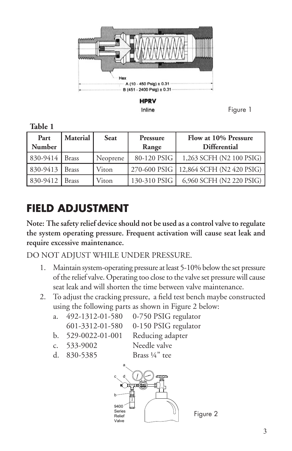

**HPRV** Inline

Figure 1

| Part<br>Number   | Material | <b>Seat</b> | Pressure<br>Range | Flow at 10% Pressure<br><b>Differential</b> |
|------------------|----------|-------------|-------------------|---------------------------------------------|
| 830-9414 Brass   |          | Neoprene    | 80-120 PSIG       | 1,263 SCFH (N2 100 PSIG)                    |
| 830-9413   Brass |          | Viton       | 270-600 PSIG      | 12,864 SCFH (N2 420 PSIG)                   |
| 830-9412         | 1 Brass  | Viton       | 130-310 PSIG      | 6,960 SCFH (N2 220 PSIG)                    |

#### **FIELD ADJUSTMENT**

**Note: The safety relief device should not be used as a control valve to regulate the system operating pressure. Frequent activation will cause seat leak and require excessive maintenance.**

DO NOT ADJUST WHILE UNDER PRESSURE.

- 1. Maintain system-operating pressure at least 5-10% below the set pressure of the relief valve. Operating too close to the valve set pressure will cause seat leak and will shorten the time between valve maintenance.
- 2. To adjust the cracking pressure, a field test bench maybe constructed using the following parts as shown in Figure 2 below:
	- a. 492-1312-01-580 0-750 PSIG regulator
		- 601-3312-01-580 0-150 PSIG regulator
	- b. 529-0022-01-001 Reducing adapter

c. 533-9002 Needle valve<br>d. 830-5385 Brass ¼" tee d. 830-5385



Figure 2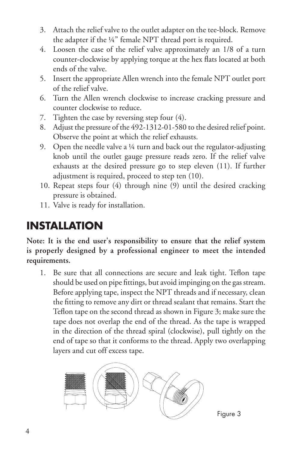- 3. Attach the relief valve to the outlet adapter on the tee-block. Remove the adapter if the ¼" female NPT thread port is required.
- 4. Loosen the case of the relief valve approximately an 1/8 of a turn counter-clockwise by applying torque at the hex flats located at both ends of the valve.
- 5. Insert the appropriate Allen wrench into the female NPT outlet port of the relief valve.
- 6. Turn the Allen wrench clockwise to increase cracking pressure and counter clockwise to reduce.
- 7. Tighten the case by reversing step four (4).
- 8. Adjust the pressure of the 492-1312-01-580 to the desired relief point. Observe the point at which the relief exhausts.
- 9. Open the needle valve a ¼ turn and back out the regulator-adjusting knob until the outlet gauge pressure reads zero. If the relief valve exhausts at the desired pressure go to step eleven (11). If further adjustment is required, proceed to step ten (10).
- 10. Repeat steps four (4) through nine (9) until the desired cracking pressure is obtained.
- 11. Valve is ready for installation.

# **INSTALLATION**

**Note: It is the end user's responsibility to ensure that the relief system is properly designed by a professional engineer to meet the intended requirements.**

1. Be sure that all connections are secure and leak tight. Teflon tape should be used on pipe fittings, but avoid impinging on the gas stream. Before applying tape, inspect the NPT threads and if necessary, clean the fitting to remove any dirt or thread sealant that remains. Start the Teflon tape on the second thread as shown in Figure 3; make sure the tape does not overlap the end of the thread. As the tape is wrapped in the direction of the thread spiral (clockwise), pull tightly on the end of tape so that it conforms to the thread. Apply two overlapping layers and cut off excess tape.

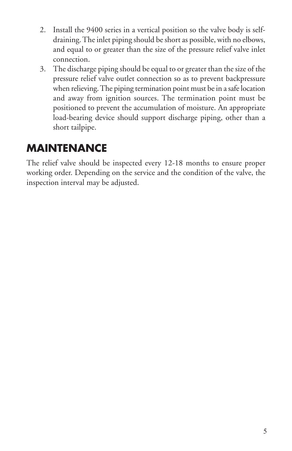- 2. Install the 9400 series in a vertical position so the valve body is selfdraining. The inlet piping should be short as possible, with no elbows, and equal to or greater than the size of the pressure relief valve inlet connection.
- 3. The discharge piping should be equal to or greater than the size of the pressure relief valve outlet connection so as to prevent backpressure when relieving. The piping termination point must be in a safe location and away from ignition sources. The termination point must be positioned to prevent the accumulation of moisture. An appropriate load-bearing device should support discharge piping, other than a short tailpipe.

#### **MAINTENANCE**

The relief valve should be inspected every 12-18 months to ensure proper working order. Depending on the service and the condition of the valve, the inspection interval may be adjusted.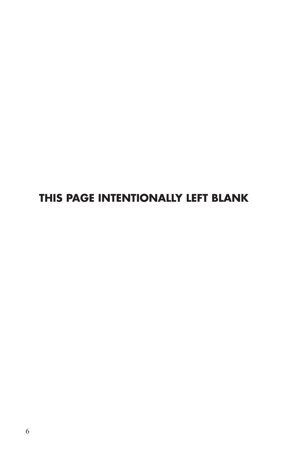#### **THIS PAGE INTENTIONALLY LEFT BLANK**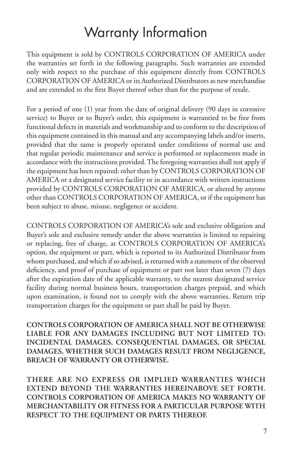# Warranty Information

This equipment is sold by CONTROLS CORPORATION OF AMERICA under the warranties set forth in the following paragraphs. Such warranties are extended only with respect to the purchase of this equipment directly from CONTROLS Corporation of America or its Authorized Distributors as new merchandise and are extended to the first Buyer thereof other than for the purpose of resale.

For a period of one (1) year from the date of original delivery (90 days in corrosive service) to Buyer or to Buyer's order, this equipment is warrantied to be free from functional defects in materials and workmanship and to conform to the description of this equipment contained in this manual and any accompanying labels and/or inserts, provided that the same is properly operated under conditions of normal use and that regular periodic maintenance and service is performed or replacements made in accordance with the instructions provided. The foregoing warranties shall not apply if the equipment has been repaired: other than by CONTROLS CORPORATION OF AMERICA or a designated service facility or in accordance with written instructions provided by CONTROLS CORPORATION OF AMERICA, or altered by anyone other than CONTROLS CORPORATION OF AMERICA, or if the equipment has been subject to abuse, misuse, negligence or accident.

CONTROLS CORPORATION OF AMERICA's sole and exclusive obligation and Buyer's sole and exclusive remedy under the above warranties is limited to repairing or replacing, free of charge, at CONTROLS CORPORATION OF AMERICA's option, the equipment or part, which is reported to its Authorized Distributor from whom purchased, and which if so advised, is returned with a statement of the observed deficiency, and proof of purchase of equipment or part not later than seven (7) days after the expiration date of the applicable warranty, to the nearest designated service facility during normal business hours, transportation charges prepaid, and which upon examination, is found not to comply with the above warranties. Return trip transportation charges for the equipment or part shall be paid by Buyer.

**Controls Corporation of America shall not be otherwise liable for any damages including but not limited to: incidental damages, consequential damages, or special damages, whether such damages result from negligence, breach of warranty or otherwise.**

**There are no express or implied warranties which extend beyond the warranties hereinabove set forth. Controls Corporation of America makes no warranty of merchantability or fitness for a particular purpose with respect to the equipment or parts thereof.**